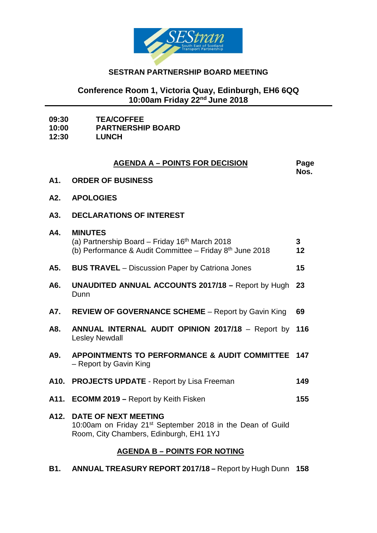

## **SESTRAN PARTNERSHIP BOARD MEETING**

## **Conference Room 1, Victoria Quay, Edinburgh, EH6 6QQ 10:00am Friday 22nd June 2018**

| 09:30 | <b>TEA/COFFEE</b> |
|-------|-------------------|
|       |                   |

**10:00 PARTNERSHIP BOARD**

**12:30 LUNCH**

| <b>AGENDA A - POINTS FOR DECISION</b> |                                                                                                                                                      |         |  |  |
|---------------------------------------|------------------------------------------------------------------------------------------------------------------------------------------------------|---------|--|--|
| A1.                                   | <b>ORDER OF BUSINESS</b>                                                                                                                             | Nos.    |  |  |
| A2.                                   | <b>APOLOGIES</b>                                                                                                                                     |         |  |  |
| A3.                                   | <b>DECLARATIONS OF INTEREST</b>                                                                                                                      |         |  |  |
| A4.                                   | <b>MINUTES</b><br>(a) Partnership Board – Friday 16 <sup>th</sup> March 2018<br>(b) Performance & Audit Committee - Friday 8 <sup>th</sup> June 2018 | 3<br>12 |  |  |
| A5.                                   | <b>BUS TRAVEL</b> – Discussion Paper by Catriona Jones                                                                                               | 15      |  |  |
| A6.                                   | <b>UNAUDITED ANNUAL ACCOUNTS 2017/18 - Report by Hugh</b><br>Dunn                                                                                    | 23      |  |  |
| A7.                                   | <b>REVIEW OF GOVERNANCE SCHEME</b> – Report by Gavin King                                                                                            | 69      |  |  |
| A8.                                   | <b>ANNUAL INTERNAL AUDIT OPINION 2017/18 - Report by</b><br><b>Lesley Newdall</b>                                                                    | 116     |  |  |
| A9.                                   | APPOINTMENTS TO PERFORMANCE & AUDIT COMMITTEE<br>- Report by Gavin King                                                                              | 147     |  |  |
|                                       | A10. PROJECTS UPDATE - Report by Lisa Freeman                                                                                                        | 149     |  |  |
| A11.                                  | <b>ECOMM 2019 – Report by Keith Fisken</b>                                                                                                           | 155     |  |  |
| A12.                                  | <b>DATE OF NEXT MEETING</b><br>10:00am on Friday 21 <sup>st</sup> September 2018 in the Dean of Guild<br>Room, City Chambers, Edinburgh, EH1 1YJ     |         |  |  |
| <b>AGENDA B - POINTS FOR NOTING</b>   |                                                                                                                                                      |         |  |  |

**B1. ANNUAL TREASURY REPORT 2017/18 –** Report by Hugh Dunn **158**